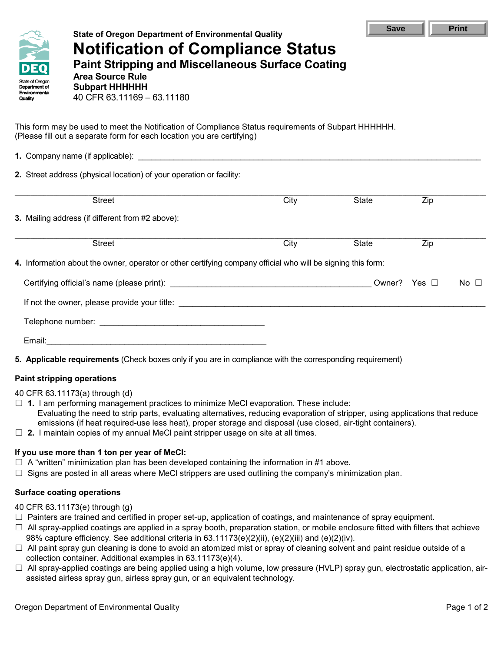

# **State of Oregon Department of Environmental Quality Notification of Compliance Status Paint Stripping and Miscellaneous Surface Coating**

**Area Source Rule Subpart HHHHHH** 40 CFR 63.11169 – 63.11180

This form may be used to meet the Notification of Compliance Status requirements of Subpart HHHHHH. (Please fill out a separate form for each location you are certifying)

| 1. Company name (if applicable): example and a set of the set of the set of the set of the set of the set of the set of the set of the set of the set of the set of the set of the set of the set of the set of the set of the |      |              |                  |              |
|--------------------------------------------------------------------------------------------------------------------------------------------------------------------------------------------------------------------------------|------|--------------|------------------|--------------|
| 2. Street address (physical location) of your operation or facility:                                                                                                                                                           |      |              |                  |              |
| <b>Street</b>                                                                                                                                                                                                                  | City | State        | Zip              |              |
| 3. Mailing address (if different from #2 above):                                                                                                                                                                               |      |              |                  |              |
| <b>Street</b>                                                                                                                                                                                                                  | City | <b>State</b> | $\overline{Zip}$ |              |
| 4. Information about the owner, operator or other certifying company official who will be signing this form:                                                                                                                   |      |              |                  |              |
|                                                                                                                                                                                                                                |      |              |                  | No $\square$ |
|                                                                                                                                                                                                                                |      |              |                  |              |
|                                                                                                                                                                                                                                |      |              |                  |              |
|                                                                                                                                                                                                                                |      |              |                  |              |
| 5. Applicable requirements (Check boxes only if you are in compliance with the corresponding requirement)                                                                                                                      |      |              |                  |              |

## **Paint stripping operations**

40 CFR 63.11173(a) through (d)

- ☐ **1.** I am performing management practices to minimize MeCl evaporation. These include: Evaluating the need to strip parts, evaluating alternatives, reducing evaporation of stripper, using applications that reduce emissions (if heat required-use less heat), proper storage and disposal (use closed, air-tight containers).
- $\Box$  **2.** I maintain copies of my annual MeCI paint stripper usage on site at all times.

### **If you use more than 1 ton per year of MeCl:**

- ☐A "written" minimization plan has been developed containing the information in #1 above.
- $\Box$  Signs are posted in all areas where MeCl strippers are used outlining the company's minimization plan.

### **Surface coating operations**

- 40 CFR 63.11173(e) through (g)
- $\Box$  Painters are trained and certified in proper set-up, application of coatings, and maintenance of spray equipment.
- $\Box$  All spray-applied coatings are applied in a spray booth, preparation station, or mobile enclosure fitted with filters that achieve 98% capture efficiency. See additional criteria in 63.11173(e)(2)(ii), (e)(2)(iii) and (e)(2)(iv).
- ☐ All paint spray gun cleaning is done to avoid an atomized mist or spray of cleaning solvent and paint residue outside of a collection container. Additional examples in 63.11173(e)(4).
- $\Box$  All spray-applied coatings are being applied using a high volume, low pressure (HVLP) spray gun, electrostatic application, airassisted airless spray gun, airless spray gun, or an equivalent technology.

Save **Print**